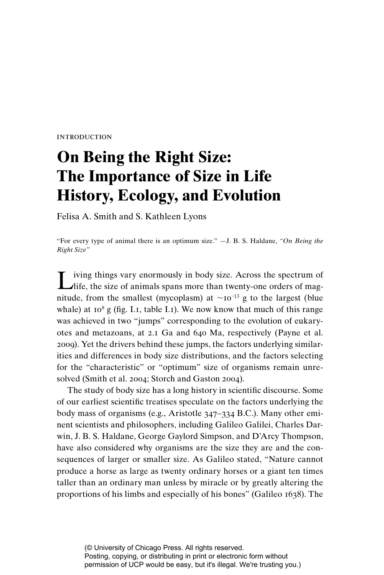**INTRODUCTION** 

## **On Being the Right Size: The Importance of Size in Life History, Ecology, and Evolution**

Felisa A. Smith and S. Kathleen Lyons

"For every type of animal there is an optimum size." —J. B. S. Haldane, *"On Being the Right Size"*

Living things vary enormously in body size. Across the spectrum of life, the size of animals spans more than twenty-one orders of magnitude, from the smallest (mycoplasm) at  $\sim$ 10<sup>-13</sup> g to the largest (blue whale) at  $10^8$  g (fig. I.I, table I.I). We now know that much of this range was achieved in two "jumps" corresponding to the evolution of eukaryotes and metazoans, at 2.1 Ga and 640 Ma, respectively (Payne et al. 2009). Yet the drivers behind these jumps, the factors underlying similarities and differences in body size distributions, and the factors selecting for the "characteristic" or "optimum" size of organisms remain unresolved (Smith et al. 2004; Storch and Gaston 2004).

The study of body size has a long history in scientific discourse. Some of our earliest scientific treatises speculate on the factors underlying the body mass of organisms (e.g., Aristotle 347–334 B.C.). Many other eminent scientists and philosophers, including Galileo Galilei, Charles Darwin, J. B. S. Haldane, George Gaylord Simpson, and D'Arcy Thompson, have also considered why organisms are the size they are and the consequences of larger or smaller size. As Galileo stated, "Nature cannot produce a horse as large as twenty ordinary horses or a giant ten times taller than an ordinary man unless by miracle or by greatly altering the proportions of his limbs and especially of his bones" (Galileo 1638). The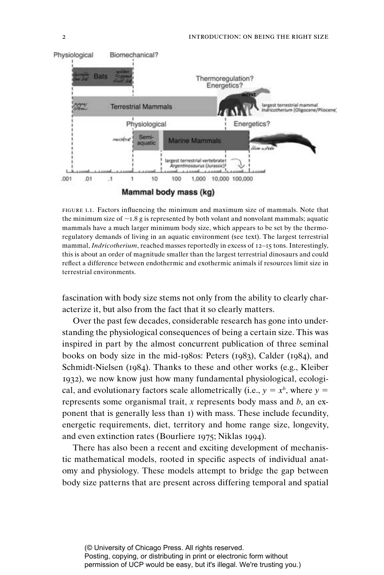

FIGURE I.I. Factors influencing the minimum and maximum size of mammals. Note that the minimum size of ∼1.8 g is represented by both volant and nonvolant mammals; aquatic mammals have a much larger minimum body size, which appears to be set by the thermoregulatory demands of living in an aquatic environment (see text). The largest terrestrial mammal, *Indricotherium*, reached masses reportedly in excess of 12–15 tons. Interestingly, this is about an order of magnitude smaller than the largest terrestrial dinosaurs and could ref ect a difference between endothermic and exothermic animals if resources limit size in terrestrial environments.

fascination with body size stems not only from the ability to clearly characterize it, but also from the fact that it so clearly matters.

Over the past few decades, considerable research has gone into understanding the physiological consequences of being a certain size. This was inspired in part by the almost concurrent publication of three seminal books on body size in the mid-1980s: Peters (1983), Calder (1984), and Schmidt-Nielsen (1984). Thanks to these and other works (e.g., Kleiber 1932), we now know just how many fundamental physiological, ecological, and evolutionary factors scale allometrically (i.e.,  $y = x^b$ , where  $y =$ represents some organismal trait, *x* represents body mass and *b*, an exponent that is generally less than 1) with mass. These include fecundity, energetic requirements, diet, territory and home range size, longevity, and even extinction rates (Bourliere 1975; Niklas 1994).

There has also been a recent and exciting development of mechanistic mathematical models, rooted in specific aspects of individual anatomy and physiology. These models attempt to bridge the gap between body size patterns that are present across differing temporal and spatial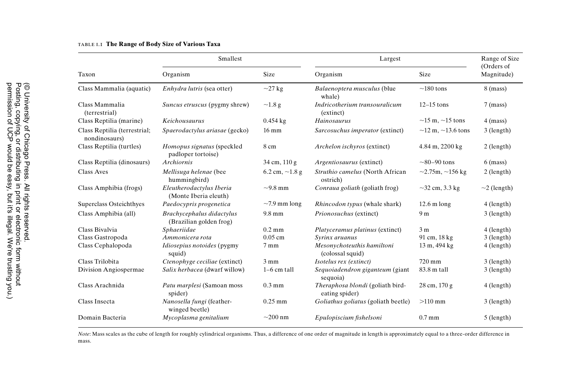## table I.1 **The Range of Body Size of Various Taxa**

| Taxon                                         | Smallest                                             |                      | Largest                                            |                               | Range of Size            |
|-----------------------------------------------|------------------------------------------------------|----------------------|----------------------------------------------------|-------------------------------|--------------------------|
|                                               | Organism                                             | Size                 | Organism                                           | Size                          | (Orders of<br>Magnitude) |
| Class Mammalia (aquatic)                      | Enhydra lutris (sea otter)                           | $\sim$ 27 kg         | Balaenoptera musculus (blue<br>whale)              | $\sim$ 180 tons               | $8$ (mass)               |
| Class Mammalia<br>(terrestrial)               | Suncus etruscus (pygmy shrew)                        | $\sim$ 1.8 g         | Indricotherium transouralicum<br>(extinct)         | $12-15$ tons                  | $7$ (mass)               |
| Class Reptilia (marine)                       | Keichousaurus                                        | $0.454$ kg           | Hainosaurus                                        | $\sim$ 15 m, $\sim$ 15 tons   | $4$ (mass)               |
| Class Reptilia (terrestrial;<br>nondinosaurs) | Spaerodactylus ariasae (gecko)                       | $16 \text{ mm}$      | Sarcosuchus imperator (extinct)                    | $\sim$ 12 m, $\sim$ 13.6 tons | 3 (length)               |
| Class Reptilia (turtles)                      | Homopus signatus (speckled<br>padloper tortoise)     | 8 cm                 | Archelon ischyros (extinct)                        | 4.84 m, 2200 kg               | $2$ (length)             |
| Class Reptilia (dinosaurs)                    | Archiornis                                           | 34 cm, 110 g         | Argentiosaurus (extinct)                           | $\sim$ 80-90 tons             | $6$ (mass)               |
| <b>Class Aves</b>                             | Mellisuga helenae (bee<br>hummingbird)               | 6.2 cm, $\sim$ 1.8 g | Struthio camelus (North African<br>ostrich)        | $\sim$ 2.75m, $\sim$ 156 kg   | $2$ (length)             |
| Class Amphibia (frogs)                        | Eleutherodactylus Iberia<br>(Monte Iberia eleuth)    | $\sim$ 9.8 mm        | Conraua goliath (goliath frog)                     | $\sim$ 32 cm, 3.3 kg          | $\sim$ 2 (length)        |
| Superclass Osteichthyes                       | Paedocypris progenetica                              | $\sim$ 7.9 mm long   | Rhincodon typus (whale shark)                      | $12.6 \text{ m}$ long         | 4 (length)               |
| Class Amphibia (all)                          | Brachycephalus didactylus<br>(Brazilian golden frog) | $9.8 \text{ mm}$     | Prionosuchus (extinct)                             | 9 <sub>m</sub>                | 3 (length)               |
| Class Bivalvia                                | Sphaeriidae                                          | $0.2 \text{ mm}$     | Platyceramus platinus (extinct)                    | 3 <sub>m</sub>                | 4 (length)               |
| Class Gastropoda                              | Ammonicera rota                                      | $0.05$ cm            | Syrinx aruanus                                     | 91 cm, 18 kg                  | 3 (length)               |
| Class Cephalopoda                             | Idiosepius notoides (pygmy<br>squid)                 | $7 \text{ mm}$       | Mesonychoteuthis hamiltoni<br>(colossal squid)     | 13 m, 494 kg                  | 4 (length)               |
| Class Trilobita                               | Ctenophyge ceciliae (extinct)                        | $3 \text{ mm}$       | Isotelus rex (extinct)                             | 720 mm                        | 3 (length)               |
| Division Angiospermae                         | Salix herbacea (dwarf willow)                        | $1-6$ cm tall        | Sequoiadendron giganteum (giant<br>sequoia)        | 83.8 m tall                   | 3 (length)               |
| Class Arachnida                               | Patu marplesi (Samoan moss<br>spider)                | $0.3 \text{ mm}$     | Theraphosa blondi (goliath bird-<br>eating spider) | 28 cm, 170 g                  | 4 (length)               |
| Class Insecta                                 | Nanosella fungi (feather-<br>winged beetle)          | $0.25$ mm            | Goliathus goliatus (goliath beetle)                | $>110$ mm                     | 3 (length)               |
| Domain Bacteria                               | Mycoplasma genitalium                                | $\sim$ 200 nm        | Epulopiscium fishelsoni                            | $0.7$ mm                      | $5$ (length)             |

*Note*: Mass scales as the cube of length for roughly cylindrical organisms. Thus, a difference of one order of magnitude in length is approximately equal to a three-order difference in mass.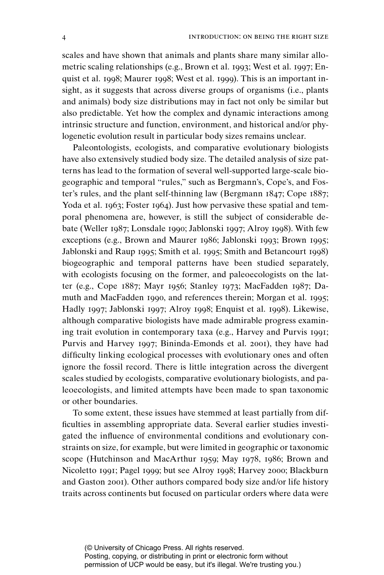scales and have shown that animals and plants share many similar allometric scaling relationships (e.g., Brown et al. 1993; West et al. 1997; Enquist et al. 1998; Maurer 1998; West et al. 1999). This is an important insight, as it suggests that across diverse groups of organisms (i.e., plants and animals) body size distributions may in fact not only be similar but also predictable. Yet how the complex and dynamic interactions among intrinsic structure and function, environment, and historical and/or phylogenetic evolution result in particular body sizes remains unclear.

Paleontologists, ecologists, and comparative evolutionary biologists have also extensively studied body size. The detailed analysis of size patterns has lead to the formation of several well-supported large-scale biogeographic and temporal "rules," such as Bergmann's, Cope's, and Foster's rules, and the plant self-thinning law (Bergmann 1847; Cope 1887; Yoda et al. 1963; Foster 1964). Just how pervasive these spatial and temporal phenomena are, however, is still the subject of considerable debate (Weller 1987; Lonsdale 1990; Jablonski 1997; Alroy 1998). With few exceptions (e.g., Brown and Maurer 1986; Jablonski 1993; Brown 1995; Jablonski and Raup 1995; Smith et al. 1995; Smith and Betancourt 1998) biogeographic and temporal patterns have been studied separately, with ecologists focusing on the former, and paleoecologists on the latter (e.g., Cope 1887; Mayr 1956; Stanley 1973; MacFadden 1987; Damuth and MacFadden 1990, and references therein; Morgan et al. 1995; Hadly 1997; Jablonski 1997; Alroy 1998; Enquist et al. 1998). Likewise, although comparative biologists have made admirable progress examining trait evolution in contemporary taxa (e.g., Harvey and Purvis 1991; Purvis and Harvey 1997; Bininda-Emonds et al. 2001), they have had difficulty linking ecological processes with evolutionary ones and often ignore the fossil record. There is little integration across the divergent scales studied by ecologists, comparative evolutionary biologists, and paleoecologists, and limited attempts have been made to span taxonomic or other boundaries.

To some extent, these issues have stemmed at least partially from difficulties in assembling appropriate data. Several earlier studies investigated the influence of environmental conditions and evolutionary constraints on size, for example, but were limited in geographic or taxonomic scope (Hutchinson and MacArthur 1959; May 1978, 1986; Brown and Nicoletto 1991; Pagel 1999; but see Alroy 1998; Harvey 2000; Blackburn and Gaston 2001). Other authors compared body size and/or life history traits across continents but focused on particular orders where data were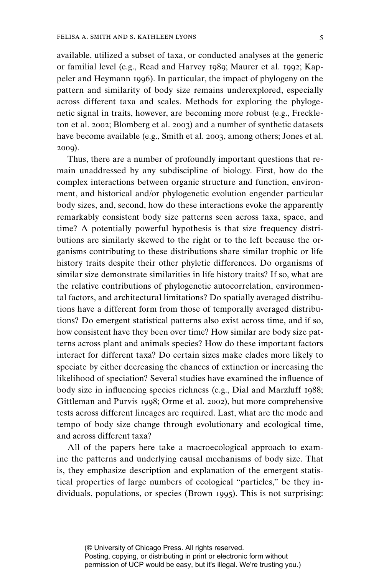available, utilized a subset of taxa, or conducted analyses at the generic or familial level (e.g., Read and Harvey 1989; Maurer et al. 1992; Kappeler and Heymann 1996). In particular, the impact of phylogeny on the pattern and similarity of body size remains underexplored, especially across different taxa and scales. Methods for exploring the phylogenetic signal in traits, however, are becoming more robust (e.g., Freckleton et al. 2002; Blomberg et al. 2003) and a number of synthetic datasets have become available (e.g., Smith et al. 2003, among others; Jones et al. 2009).

Thus, there are a number of profoundly important questions that remain unaddressed by any subdiscipline of biology. First, how do the complex interactions between organic structure and function, environment, and historical and/or phylogenetic evolution engender particular body sizes, and, second, how do these interactions evoke the apparently remarkably consistent body size patterns seen across taxa, space, and time? A potentially powerful hypothesis is that size frequency distributions are similarly skewed to the right or to the left because the organisms contributing to these distributions share similar trophic or life history traits despite their other phyletic differences. Do organisms of similar size demonstrate similarities in life history traits? If so, what are the relative contributions of phylogenetic autocorrelation, environmental factors, and architectural limitations? Do spatially averaged distributions have a different form from those of temporally averaged distributions? Do emergent statistical patterns also exist across time, and if so, how consistent have they been over time? How similar are body size patterns across plant and animals species? How do these important factors interact for different taxa? Do certain sizes make clades more likely to speciate by either decreasing the chances of extinction or increasing the likelihood of speciation? Several studies have examined the influence of body size in influencing species richness (e.g., Dial and Marzluff 1988; Gittleman and Purvis 1998; Orme et al. 2002), but more comprehensive tests across different lineages are required. Last, what are the mode and tempo of body size change through evolutionary and ecological time, and across different taxa?

All of the papers here take a macroecological approach to examine the patterns and underlying causal mechanisms of body size. That is, they emphasize description and explanation of the emergent statistical properties of large numbers of ecological "particles," be they individuals, populations, or species (Brown 1995). This is not surprising: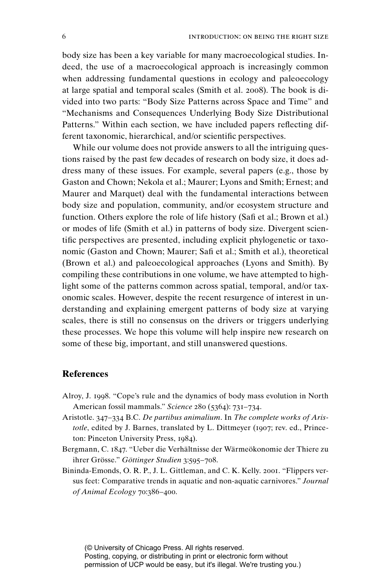body size has been a key variable for many macroecological studies. Indeed, the use of a macroecological approach is increasingly common when addressing fundamental questions in ecology and paleoecology at large spatial and temporal scales (Smith et al. 2008). The book is divided into two parts: "Body Size Patterns across Space and Time" and "Mechanisms and Consequences Underlying Body Size Distributional Patterns." Within each section, we have included papers reflecting different taxonomic, hierarchical, and/or scientific perspectives.

While our volume does not provide answers to all the intriguing questions raised by the past few decades of research on body size, it does address many of these issues. For example, several papers (e.g., those by Gaston and Chown; Nekola et al.; Maurer; Lyons and Smith; Ernest; and Maurer and Marquet) deal with the fundamental interactions between body size and population, community, and/or ecosystem structure and function. Others explore the role of life history (Safi et al.; Brown et al.) or modes of life (Smith et al.) in patterns of body size. Divergent scientific perspectives are presented, including explicit phylogenetic or taxonomic (Gaston and Chown; Maurer; Saf et al.; Smith et al.), theoretical (Brown et al.) and paleoecological approaches (Lyons and Smith). By compiling these contributions in one volume, we have attempted to highlight some of the patterns common across spatial, temporal, and/or taxonomic scales. However, despite the recent resurgence of interest in understanding and explaining emergent patterns of body size at varying scales, there is still no consensus on the drivers or triggers underlying these processes. We hope this volume will help inspire new research on some of these big, important, and still unanswered questions.

## **References**

- Alroy, J. 1998. "Cope's rule and the dynamics of body mass evolution in North American fossil mammals." *Science* 280 (5364): 731–734.
- Aristotle. 347–334 B.C. *De partibus animalium*. In *The complete works of Aristotle*, edited by J. Barnes, translated by L. Dittmeyer (1907; rev. ed., Princeton: Pinceton University Press, 1984).
- Bergmann, C. 1847. "Ueber die Verhältnisse der Wärmeökonomie der Thiere zu ihrer Grösse." *Göttinger Studien* 3:595–708.
- Bininda-Emonds, O. R. P., J. L. Gittleman, and C. K. Kelly. 2001. "Flippers versus feet: Comparative trends in aquatic and non-aquatic carnivores." *Journal of Animal Ecology* 70:386–400.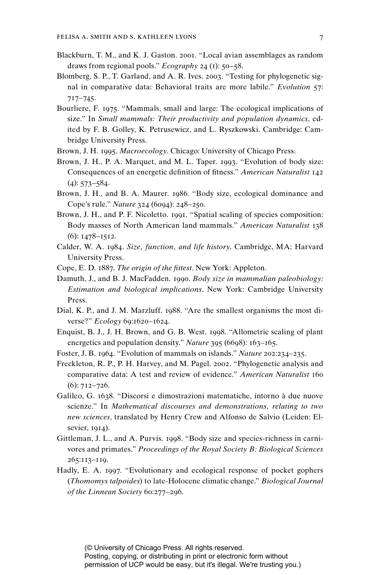- Blackburn, T. M., and K. J. Gaston. 2001. "Local avian assemblages as random draws from regional pools." *Ecography* 24 (1): 50–58.
- Blomberg, S. P., T. Garland, and A. R. Ives. 2003. "Testing for phylogenetic signal in comparative data: Behavioral traits are more labile." *Evolution* 57: 717–745.
- Bourliere, F. 1975. "Mammals, small and large: The ecological implications of size." In *Small mammals: Their productivity and population dynamics*, edited by F. B. Golley, K. Petrusewicz, and L. Ryszkowski. Cambridge: Cambridge University Press.
- Brown, J. H. 1995. *Macroecology*. Chicago: University of Chicago Press.
- Brown, J. H., P. A. Marquet, and M. L. Taper. 1993. "Evolution of body size: Consequences of an energetic definition of fitness." *American Naturalist* 142  $(4): 573 - 584.$
- Brown, J. H., and B. A. Maurer. 1986. "Body size, ecological dominance and Cope's rule." *Nature* 324 (6094): 248–250.
- Brown, J. H., and P. F. Nicoletto. 1991. "Spatial scaling of species composition: Body masses of North American land mammals." *American Naturalist* 138 (6): 1478–1512.
- Calder, W. A. 1984. *Size, function, and life history*. Cambridge, MA: Harvard University Press.
- Cope, E. D. 1887. *The origin of the fittest*. New York: Appleton.
- Damuth, J., and B. J. MacFadden. 1990. *Body size in mammalian paleobiology: Estimation and biological implications*. New York: Cambridge University Press.
- Dial, K. P., and J. M. Marzluff. 1988. "Are the smallest organisms the most diverse?" *Ecology* 69:1620–1624.
- Enquist, B. J., J. H. Brown, and G. B. West. 1998. "Allometric scaling of plant energetics and population density." *Nature* 395 (6698): 163–165.
- Foster, J. B. 1964. "Evolution of mammals on islands." *Nature* 202:234–235.
- Freckleton, R. P., P. H. Harvey, and M. Pagel. 2002. "Phylogenetic analysis and comparative data: A test and review of evidence." *American Naturalist* 160 (6): 712–726.
- Galileo, G. 1638. "Discorsi e dimostrazioni matematiche, intorno à due nuove scienze." In *Mathematical discourses and demonstrations, relating to two new sciences*, translated by Henry Crew and Alfonso de Salvio (Leiden: Elsevier, 1914).
- Gittleman, J. L., and A. Purvis. 1998. "Body size and species-richness in carnivores and primates." *Proceedings of the Royal Society B: Biological Sciences* 265:113–119.
- Hadly, E. A. 1997. "Evolutionary and ecological response of pocket gophers (*Thomomys talpoides*) to late-Holocene climatic change." *Biological Journal of the Linnean Society* 60:277–296.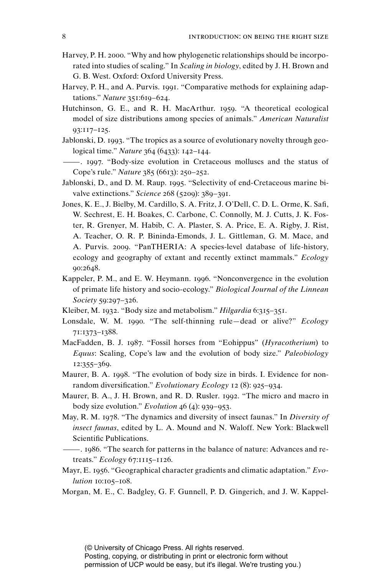- Harvey, P. H. 2000. "Why and how phylogenetic relationships should be incorporated into studies of scaling." In *Scaling in biology*, edited by J. H. Brown and G. B. West. Oxford: Oxford University Press.
- Harvey, P. H., and A. Purvis. 1991. "Comparative methods for explaining adaptations." *Nature* 351:619–624.
- Hutchinson, G. E., and R. H. MacArthur. 1959. "A theoretical ecological model of size distributions among species of animals." *American Naturalist* 93:117–125.
- Jablonski, D. 1993. "The tropics as a source of evolutionary novelty through geological time." *Nature* 364 (6433): 142–144.
- ———. 1997. "Body-size evolution in Cretaceous molluscs and the status of Cope's rule." *Nature* 385 (6613): 250–252.
- Jablonski, D., and D. M. Raup. 1995. "Selectivity of end-Cretaceous marine bivalve extinctions." *Science* 268 (5209): 389–391.
- Jones, K. E., J. Bielby, M. Cardillo, S. A. Fritz, J. O'Dell, C. D. L. Orme, K. Safi, W. Sechrest, E. H. Boakes, C. Carbone, C. Connolly, M. J. Cutts, J. K. Foster, R. Grenyer, M. Habib, C. A. Plaster, S. A. Price, E. A. Rigby, J. Rist, A. Teacher, O. R. P. Bininda-Emonds, J. L. Gittleman, G. M. Mace, and A. Purvis. 2009. "PanTHERIA: A species-level database of life-history, ecology and geography of extant and recently extinct mammals." *Ecology* 90:2648.
- Kappeler, P. M., and E. W. Heymann. 1996. "Nonconvergence in the evolution of primate life history and socio-ecology." *Biological Journal of the Linnean Society* 59:297–326.
- Kleiber, M. 1932. "Body size and metabolism." *Hilgardia* 6:315–351.
- Lonsdale, W. M. 1990. "The self-thinning rule—dead or alive?" *Ecology* 71:1373–1388.
- MacFadden, B. J. 1987. "Fossil horses from "Eohippus" (*Hyracotherium*) to *Equus*: Scaling, Cope's law and the evolution of body size." *Paleobiology* 12:355–369.
- Maurer, B. A. 1998. "The evolution of body size in birds. I. Evidence for nonrandom diversification." *Evolutionary Ecology* 12 (8): 925-934.
- Maurer, B. A., J. H. Brown, and R. D. Rusler. 1992. "The micro and macro in body size evolution." *Evolution* 46 (4): 939–953.
- May, R. M. 1978. "The dynamics and diversity of insect faunas." In *Diversity of insect faunas*, edited by L. A. Mound and N. Waloff. New York: Blackwell Scientific Publications.
- ———. 1986. "The search for patterns in the balance of nature: Advances and retreats." *Ecology* 67:1115–1126.
- Mayr, E. 1956. "Geographical character gradients and climatic adaptation." *Evolution* 10:105–108.
- Morgan, M. E., C. Badgley, G. F. Gunnell, P. D. Gingerich, and J. W. Kappel-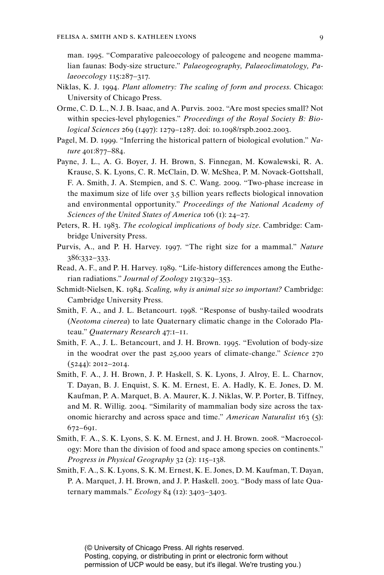man. 1995. "Comparative paleoecology of paleogene and neogene mammalian faunas: Body-size structure." *Palaeogeography, Palaeoclimatology, Palaeoecology* 115:287–317.

- Niklas, K. J. 1994. *Plant allometry: The scaling of form and process*. Chicago: University of Chicago Press.
- Orme, C. D. L., N. J. B. Isaac, and A. Purvis. 2002. "Are most species small? Not within species-level phylogenies." *Proceedings of the Royal Society B: Biological Sciences* 269 (1497): 1279–1287. doi: 10.1098/rspb.2002.2003.
- Pagel, M. D. 1999. "Inferring the historical pattern of biological evolution." *Nature* 401:877–884.
- Payne, J. L., A. G. Boyer, J. H. Brown, S. Finnegan, M. Kowalewski, R. A. Krause, S. K. Lyons, C. R. McClain, D. W. McShea, P. M. Novack-Gottshall, F. A. Smith, J. A. Stempien, and S. C. Wang. 2009. "Two-phase increase in the maximum size of life over 3.5 billion years reflects biological innovation and environmental opportunity." *Proceedings of the National Academy of Sciences of the United States of America* 106 (1): 24–27.
- Peters, R. H. 1983. *The ecological implications of body size*. Cambridge: Cambridge University Press.
- Purvis, A., and P. H. Harvey. 1997. "The right size for a mammal." *Nature* 386:332–333.
- Read, A. F., and P. H. Harvey. 1989. "Life-history differences among the Eutherian radiations." *Journal of Zoology* 219:329–353.
- Schmidt-Nielsen, K. 1984. *Scaling, why is animal size so important?* Cambridge: Cambridge University Press.
- Smith, F. A., and J. L. Betancourt. 1998. "Response of bushy-tailed woodrats (*Neotoma cinerea*) to late Quaternary climatic change in the Colorado Plateau." *Quaternary Research* 47:1–11.
- Smith, F. A., J. L. Betancourt, and J. H. Brown. 1995. "Evolution of body-size in the woodrat over the past 25,000 years of climate-change." *Science* 270 (5244): 2012–2014.
- Smith, F. A., J. H. Brown, J. P. Haskell, S. K. Lyons, J. Alroy, E. L. Charnov, T. Dayan, B. J. Enquist, S. K. M. Ernest, E. A. Hadly, K. E. Jones, D. M. Kaufman, P. A. Marquet, B. A. Maurer, K. J. Niklas, W. P. Porter, B. Tiffney, and M. R. Willig. 2004. "Similarity of mammalian body size across the taxonomic hierarchy and across space and time." *American Naturalist* 163 (5): 672–691.
- Smith, F. A., S. K. Lyons, S. K. M. Ernest, and J. H. Brown. 2008. "Macroecology: More than the division of food and space among species on continents." *Progress in Physical Geography* 32 (2): 115–138.
- Smith, F. A., S. K. Lyons, S. K. M. Ernest, K. E. Jones, D. M. Kaufman, T. Dayan, P. A. Marquet, J. H. Brown, and J. P. Haskell. 2003. "Body mass of late Quaternary mammals." *Ecology* 84 (12): 3403–3403.